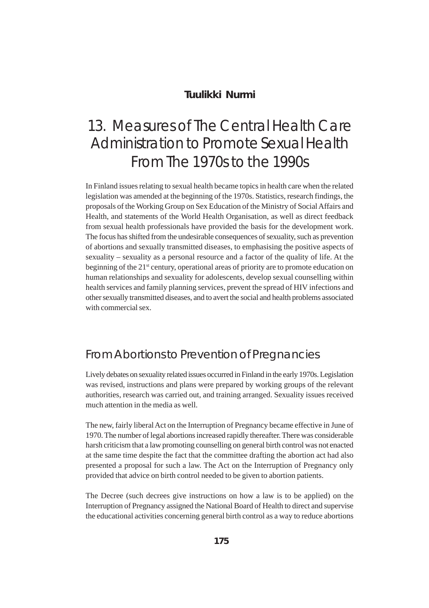#### **Tuulikki Nurmi**

# 13. Measures of The Central Health Care Administration to Promote Sexual Health From The 1970s to the 1990s

In Finland issues relating to sexual health became topics in health care when the related legislation was amended at the beginning of the 1970s. Statistics, research findings, the proposals of the Working Group on Sex Education of the Ministry of Social Affairs and Health, and statements of the World Health Organisation, as well as direct feedback from sexual health professionals have provided the basis for the development work. The focus has shifted from the undesirable consequences of sexuality, such as prevention of abortions and sexually transmitted diseases, to emphasising the positive aspects of sexuality – sexuality as a personal resource and a factor of the quality of life. At the beginning of the 21<sup>st</sup> century, operational areas of priority are to promote education on human relationships and sexuality for adolescents, develop sexual counselling within health services and family planning services, prevent the spread of HIV infections and other sexually transmitted diseases, and to avert the social and health problems associated with commercial sex.

#### From Abortions to Prevention of Pregnancies

Lively debates on sexuality related issues occurred in Finland in the early 1970s. Legislation was revised, instructions and plans were prepared by working groups of the relevant authorities, research was carried out, and training arranged. Sexuality issues received much attention in the media as well.

The new, fairly liberal Act on the Interruption of Pregnancy became effective in June of 1970. The number of legal abortions increased rapidly thereafter. There was considerable harsh criticism that a law promoting counselling on general birth control was not enacted at the same time despite the fact that the committee drafting the abortion act had also presented a proposal for such a law. The Act on the Interruption of Pregnancy only provided that advice on birth control needed to be given to abortion patients.

The Decree (such decrees give instructions on how a law is to be applied) on the Interruption of Pregnancy assigned the National Board of Health to direct and supervise the educational activities concerning general birth control as a way to reduce abortions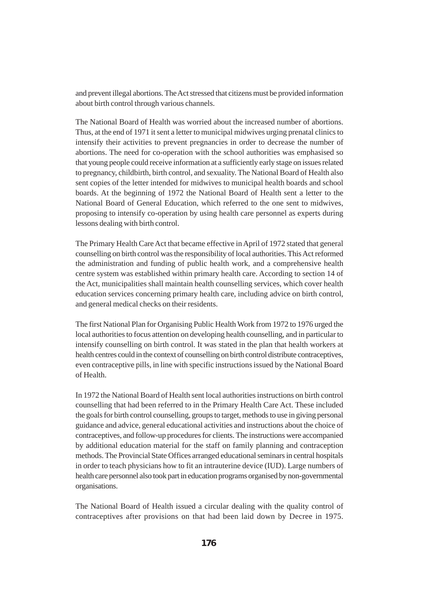and prevent illegal abortions. The Act stressed that citizens must be provided information about birth control through various channels.

The National Board of Health was worried about the increased number of abortions. Thus, at the end of 1971 it sent a letter to municipal midwives urging prenatal clinics to intensify their activities to prevent pregnancies in order to decrease the number of abortions. The need for co-operation with the school authorities was emphasised so that young people could receive information at a sufficiently early stage on issues related to pregnancy, childbirth, birth control, and sexuality. The National Board of Health also sent copies of the letter intended for midwives to municipal health boards and school boards. At the beginning of 1972 the National Board of Health sent a letter to the National Board of General Education, which referred to the one sent to midwives, proposing to intensify co-operation by using health care personnel as experts during lessons dealing with birth control.

The Primary Health Care Act that became effective in April of 1972 stated that general counselling on birth control was the responsibility of local authorities. This Act reformed the administration and funding of public health work, and a comprehensive health centre system was established within primary health care. According to section 14 of the Act, municipalities shall maintain health counselling services, which cover health education services concerning primary health care, including advice on birth control, and general medical checks on their residents.

The first National Plan for Organising Public Health Work from 1972 to 1976 urged the local authorities to focus attention on developing health counselling, and in particular to intensify counselling on birth control. It was stated in the plan that health workers at health centres could in the context of counselling on birth control distribute contraceptives, even contraceptive pills, in line with specific instructions issued by the National Board of Health.

In 1972 the National Board of Health sent local authorities instructions on birth control counselling that had been referred to in the Primary Health Care Act. These included the goals for birth control counselling, groups to target, methods to use in giving personal guidance and advice, general educational activities and instructions about the choice of contraceptives, and follow-up procedures for clients. The instructions were accompanied by additional education material for the staff on family planning and contraception methods. The Provincial State Offices arranged educational seminars in central hospitals in order to teach physicians how to fit an intrauterine device (IUD). Large numbers of health care personnel also took part in education programs organised by non-governmental organisations.

The National Board of Health issued a circular dealing with the quality control of contraceptives after provisions on that had been laid down by Decree in 1975.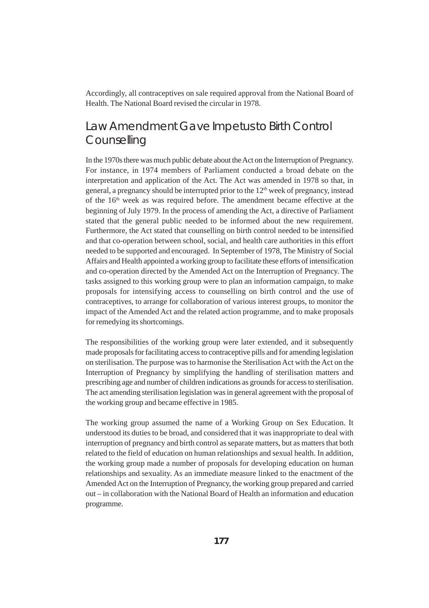Accordingly, all contraceptives on sale required approval from the National Board of Health. The National Board revised the circular in 1978.

#### Law Amendment Gave Impetus to Birth Control **Counselling**

In the 1970s there was much public debate about the Act on the Interruption of Pregnancy. For instance, in 1974 members of Parliament conducted a broad debate on the interpretation and application of the Act. The Act was amended in 1978 so that, in general, a pregnancy should be interrupted prior to the  $12<sup>th</sup>$  week of pregnancy, instead of the  $16<sup>th</sup>$  week as was required before. The amendment became effective at the beginning of July 1979. In the process of amending the Act, a directive of Parliament stated that the general public needed to be informed about the new requirement. Furthermore, the Act stated that counselling on birth control needed to be intensified and that co-operation between school, social, and health care authorities in this effort needed to be supported and encouraged. In September of 1978, The Ministry of Social Affairs and Health appointed a working group to facilitate these efforts of intensification and co-operation directed by the Amended Act on the Interruption of Pregnancy. The tasks assigned to this working group were to plan an information campaign, to make proposals for intensifying access to counselling on birth control and the use of contraceptives, to arrange for collaboration of various interest groups, to monitor the impact of the Amended Act and the related action programme, and to make proposals for remedying its shortcomings.

The responsibilities of the working group were later extended, and it subsequently made proposals for facilitating access to contraceptive pills and for amending legislation on sterilisation. The purpose was to harmonise the Sterilisation Act with the Act on the Interruption of Pregnancy by simplifying the handling of sterilisation matters and prescribing age and number of children indications as grounds for access to sterilisation. The act amending sterilisation legislation was in general agreement with the proposal of the working group and became effective in 1985.

The working group assumed the name of a Working Group on Sex Education. It understood its duties to be broad, and considered that it was inappropriate to deal with interruption of pregnancy and birth control as separate matters, but as matters that both related to the field of education on human relationships and sexual health. In addition, the working group made a number of proposals for developing education on human relationships and sexuality. As an immediate measure linked to the enactment of the Amended Act on the Interruption of Pregnancy, the working group prepared and carried out – in collaboration with the National Board of Health an information and education programme.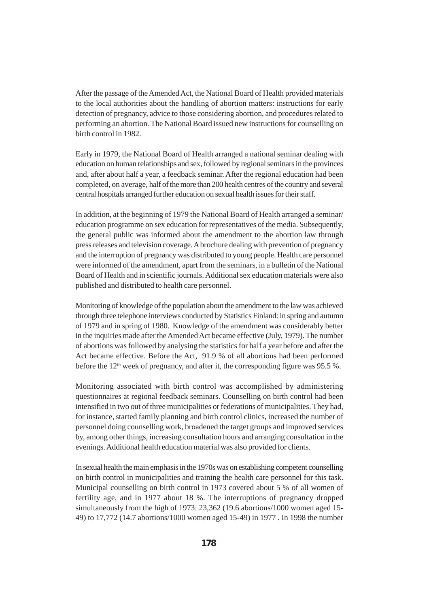After the passage of the Amended Act, the National Board of Health provided materials to the local authorities about the handling of abortion matters: instructions for early detection of pregnancy, advice to those considering abortion, and procedures related to performing an abortion. The National Board issued new instructions for counselling on birth control in 1982.

Early in 1979, the National Board of Health arranged a national seminar dealing with education on human relationships and sex, followed by regional seminars in the provinces and, after about half a year, a feedback seminar. After the regional education had been completed, on average, half of the more than 200 health centres of the country and several central hospitals arranged further education on sexual health issues for their staff.

In addition, at the beginning of 1979 the National Board of Health arranged a seminar/ education programme on sex education for representatives of the media. Subsequently, the general public was informed about the amendment to the abortion law through press releases and television coverage. A brochure dealing with prevention of pregnancy and the interruption of pregnancy was distributed to young people. Health care personnel were informed of the amendment, apart from the seminars, in a bulletin of the National Board of Health and in scientific journals. Additional sex education materials were also published and distributed to health care personnel.

Monitoring of knowledge of the population about the amendment to the law was achieved through three telephone interviews conducted by Statistics Finland: in spring and autumn of 1979 and in spring of 1980. Knowledge of the amendment was considerably better in the inquiries made after the Amended Act became effective (July, 1979). The number of abortions was followed by analysing the statistics for half a year before and after the Act became effective. Before the Act, 91.9 % of all abortions had been performed before the  $12<sup>th</sup>$  week of pregnancy, and after it, the corresponding figure was 95.5 %.

Monitoring associated with birth control was accomplished by administering questionnaires at regional feedback seminars. Counselling on birth control had been intensified in two out of three municipalities or federations of municipalities. They had, for instance, started family planning and birth control clinics, increased the number of personnel doing counselling work, broadened the target groups and improved services by, among other things, increasing consultation hours and arranging consultation in the evenings. Additional health education material was also provided for clients.

In sexual health the main emphasis in the 1970s was on establishing competent counselling on birth control in municipalities and training the health care personnel for this task. Municipal counselling on birth control in 1973 covered about 5 % of all women of fertility age, and in 1977 about 18 %. The interruptions of pregnancy dropped simultaneously from the high of 1973: 23,362 (19.6 abortions/1000 women aged 15- 49) to 17,772 (14.7 abortions/1000 women aged 15-49) in 1977 . In 1998 the number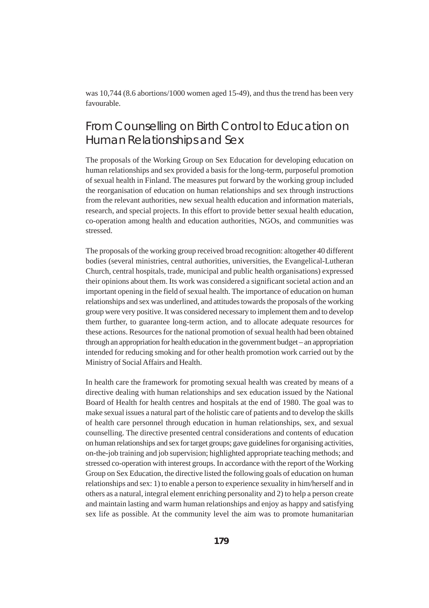was 10,744 (8.6 abortions/1000 women aged 15-49), and thus the trend has been very favourable.

# From Counselling on Birth Control to Education on Human Relationships and Sex

The proposals of the Working Group on Sex Education for developing education on human relationships and sex provided a basis for the long-term, purposeful promotion of sexual health in Finland. The measures put forward by the working group included the reorganisation of education on human relationships and sex through instructions from the relevant authorities, new sexual health education and information materials, research, and special projects. In this effort to provide better sexual health education, co-operation among health and education authorities, NGOs, and communities was stressed.

The proposals of the working group received broad recognition: altogether 40 different bodies (several ministries, central authorities, universities, the Evangelical-Lutheran Church, central hospitals, trade, municipal and public health organisations) expressed their opinions about them. Its work was considered a significant societal action and an important opening in the field of sexual health. The importance of education on human relationships and sex was underlined, and attitudes towards the proposals of the working group were very positive. It was considered necessary to implement them and to develop them further, to guarantee long-term action, and to allocate adequate resources for these actions. Resources for the national promotion of sexual health had been obtained through an appropriation for health education in the government budget – an appropriation intended for reducing smoking and for other health promotion work carried out by the Ministry of Social Affairs and Health.

In health care the framework for promoting sexual health was created by means of a directive dealing with human relationships and sex education issued by the National Board of Health for health centres and hospitals at the end of 1980. The goal was to make sexual issues a natural part of the holistic care of patients and to develop the skills of health care personnel through education in human relationships, sex, and sexual counselling. The directive presented central considerations and contents of education on human relationships and sex for target groups; gave guidelines for organising activities, on-the-job training and job supervision; highlighted appropriate teaching methods; and stressed co-operation with interest groups. In accordance with the report of the Working Group on Sex Education, the directive listed the following goals of education on human relationships and sex: 1) to enable a person to experience sexuality in him/herself and in others as a natural, integral element enriching personality and 2) to help a person create and maintain lasting and warm human relationships and enjoy as happy and satisfying sex life as possible. At the community level the aim was to promote humanitarian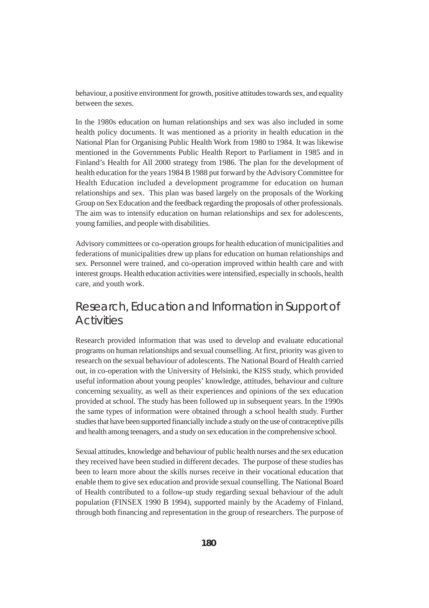behaviour, a positive environment for growth, positive attitudes towards sex, and equality between the sexes.

In the 1980s education on human relationships and sex was also included in some health policy documents. It was mentioned as a priority in health education in the National Plan for Organising Public Health Work from 1980 to 1984. It was likewise mentioned in the Governments Public Health Report to Parliament in 1985 and in Finland's Health for All 2000 strategy from 1986. The plan for the development of health education for the years 1984 B 1988 put forward by the Advisory Committee for Health Education included a development programme for education on human relationships and sex. This plan was based largely on the proposals of the Working Group on Sex Education and the feedback regarding the proposals of other professionals. The aim was to intensify education on human relationships and sex for adolescents, young families, and people with disabilities.

Advisory committees or co-operation groups for health education of municipalities and federations of municipalities drew up plans for education on human relationships and sex. Personnel were trained, and co-operation improved within health care and with interest groups. Health education activities were intensified, especially in schools, health care, and youth work.

# Research, Education and Information in Support of **Activities**

Research provided information that was used to develop and evaluate educational programs on human relationships and sexual counselling. At first, priority was given to research on the sexual behaviour of adolescents. The National Board of Health carried out, in co-operation with the University of Helsinki, the KISS study, which provided useful information about young peoples' knowledge, attitudes, behaviour and culture concerning sexuality, as well as their experiences and opinions of the sex education provided at school. The study has been followed up in subsequent years. In the 1990s the same types of information were obtained through a school health study. Further studies that have been supported financially include a study on the use of contraceptive pills and health among teenagers, and a study on sex education in the comprehensive school.

Sexual attitudes, knowledge and behaviour of public health nurses and the sex education they received have been studied in different decades. The purpose of these studies has been to learn more about the skills nurses receive in their vocational education that enable them to give sex education and provide sexual counselling. The National Board of Health contributed to a follow-up study regarding sexual behaviour of the adult population (FINSEX 1990 B 1994), supported mainly by the Academy of Finland, through both financing and representation in the group of researchers. The purpose of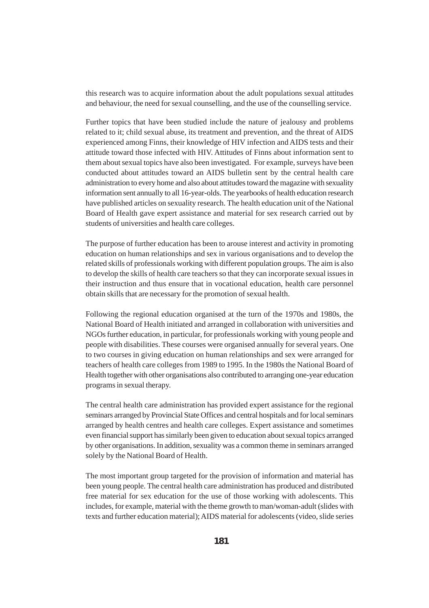this research was to acquire information about the adult populations sexual attitudes and behaviour, the need for sexual counselling, and the use of the counselling service.

Further topics that have been studied include the nature of jealousy and problems related to it; child sexual abuse, its treatment and prevention, and the threat of AIDS experienced among Finns, their knowledge of HIV infection and AIDS tests and their attitude toward those infected with HIV. Attitudes of Finns about information sent to them about sexual topics have also been investigated. For example, surveys have been conducted about attitudes toward an AIDS bulletin sent by the central health care administration to every home and also about attitudes toward the magazine with sexuality information sent annually to all 16-year-olds. The yearbooks of health education research have published articles on sexuality research. The health education unit of the National Board of Health gave expert assistance and material for sex research carried out by students of universities and health care colleges.

The purpose of further education has been to arouse interest and activity in promoting education on human relationships and sex in various organisations and to develop the related skills of professionals working with different population groups. The aim is also to develop the skills of health care teachers so that they can incorporate sexual issues in their instruction and thus ensure that in vocational education, health care personnel obtain skills that are necessary for the promotion of sexual health.

Following the regional education organised at the turn of the 1970s and 1980s, the National Board of Health initiated and arranged in collaboration with universities and NGOs further education, in particular, for professionals working with young people and people with disabilities. These courses were organised annually for several years. One to two courses in giving education on human relationships and sex were arranged for teachers of health care colleges from 1989 to 1995. In the 1980s the National Board of Health together with other organisations also contributed to arranging one-year education programs in sexual therapy.

The central health care administration has provided expert assistance for the regional seminars arranged by Provincial State Offices and central hospitals and for local seminars arranged by health centres and health care colleges. Expert assistance and sometimes even financial support has similarly been given to education about sexual topics arranged by other organisations. In addition, sexuality was a common theme in seminars arranged solely by the National Board of Health.

The most important group targeted for the provision of information and material has been young people. The central health care administration has produced and distributed free material for sex education for the use of those working with adolescents. This includes, for example, material with the theme growth to man/woman-adult (slides with texts and further education material); AIDS material for adolescents (video, slide series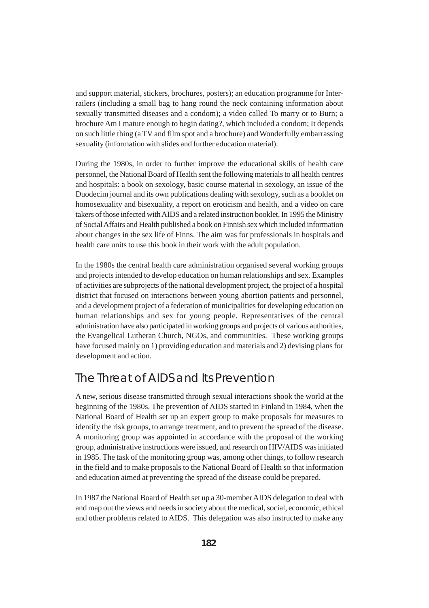and support material, stickers, brochures, posters); an education programme for Interrailers (including a small bag to hang round the neck containing information about sexually transmitted diseases and a condom); a video called To marry or to Burn; a brochure Am I mature enough to begin dating?, which included a condom; It depends on such little thing (a TV and film spot and a brochure) and Wonderfully embarrassing sexuality (information with slides and further education material).

During the 1980s, in order to further improve the educational skills of health care personnel, the National Board of Health sent the following materials to all health centres and hospitals: a book on sexology, basic course material in sexology, an issue of the Duodecim journal and its own publications dealing with sexology, such as a booklet on homosexuality and bisexuality, a report on eroticism and health, and a video on care takers of those infected with AIDS and a related instruction booklet. In 1995 the Ministry of Social Affairs and Health published a book on Finnish sex which included information about changes in the sex life of Finns. The aim was for professionals in hospitals and health care units to use this book in their work with the adult population.

In the 1980s the central health care administration organised several working groups and projects intended to develop education on human relationships and sex. Examples of activities are subprojects of the national development project, the project of a hospital district that focused on interactions between young abortion patients and personnel, and a development project of a federation of municipalities for developing education on human relationships and sex for young people. Representatives of the central administration have also participated in working groups and projects of various authorities, the Evangelical Lutheran Church, NGOs, and communities. These working groups have focused mainly on 1) providing education and materials and 2) devising plans for development and action.

# The Threat of AIDS and Its Prevention

A new, serious disease transmitted through sexual interactions shook the world at the beginning of the 1980s. The prevention of AIDS started in Finland in 1984, when the National Board of Health set up an expert group to make proposals for measures to identify the risk groups, to arrange treatment, and to prevent the spread of the disease. A monitoring group was appointed in accordance with the proposal of the working group, administrative instructions were issued, and research on HIV/AIDS was initiated in 1985. The task of the monitoring group was, among other things, to follow research in the field and to make proposals to the National Board of Health so that information and education aimed at preventing the spread of the disease could be prepared.

In 1987 the National Board of Health set up a 30-member AIDS delegation to deal with and map out the views and needs in society about the medical, social, economic, ethical and other problems related to AIDS. This delegation was also instructed to make any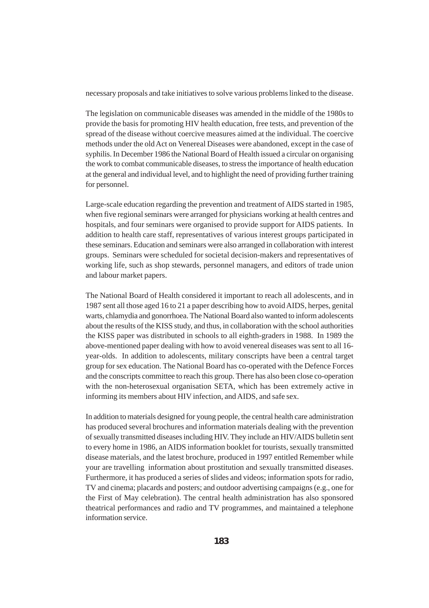necessary proposals and take initiatives to solve various problems linked to the disease.

The legislation on communicable diseases was amended in the middle of the 1980s to provide the basis for promoting HIV health education, free tests, and prevention of the spread of the disease without coercive measures aimed at the individual. The coercive methods under the old Act on Venereal Diseases were abandoned, except in the case of syphilis. In December 1986 the National Board of Health issued a circular on organising the work to combat communicable diseases, to stress the importance of health education at the general and individual level, and to highlight the need of providing further training for personnel.

Large-scale education regarding the prevention and treatment of AIDS started in 1985, when five regional seminars were arranged for physicians working at health centres and hospitals, and four seminars were organised to provide support for AIDS patients. In addition to health care staff, representatives of various interest groups participated in these seminars. Education and seminars were also arranged in collaboration with interest groups. Seminars were scheduled for societal decision-makers and representatives of working life, such as shop stewards, personnel managers, and editors of trade union and labour market papers.

The National Board of Health considered it important to reach all adolescents, and in 1987 sent all those aged 16 to 21 a paper describing how to avoid AIDS, herpes, genital warts, chlamydia and gonorrhoea. The National Board also wanted to inform adolescents about the results of the KISS study, and thus, in collaboration with the school authorities the KISS paper was distributed in schools to all eighth-graders in 1988. In 1989 the above-mentioned paper dealing with how to avoid venereal diseases was sent to all 16 year-olds. In addition to adolescents, military conscripts have been a central target group for sex education. The National Board has co-operated with the Defence Forces and the conscripts committee to reach this group. There has also been close co-operation with the non-heterosexual organisation SETA, which has been extremely active in informing its members about HIV infection, and AIDS, and safe sex.

In addition to materials designed for young people, the central health care administration has produced several brochures and information materials dealing with the prevention of sexually transmitted diseases including HIV. They include an HIV/AIDS bulletin sent to every home in 1986, an AIDS information booklet for tourists, sexually transmitted disease materials, and the latest brochure, produced in 1997 entitled Remember while your are travelling information about prostitution and sexually transmitted diseases. Furthermore, it has produced a series of slides and videos; information spots for radio, TV and cinema; placards and posters; and outdoor advertising campaigns (e.g., one for the First of May celebration). The central health administration has also sponsored theatrical performances and radio and TV programmes, and maintained a telephone information service.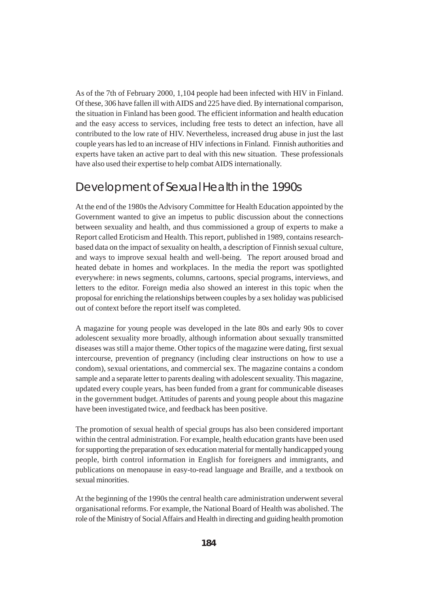As of the 7th of February 2000, 1,104 people had been infected with HIV in Finland. Of these, 306 have fallen ill with AIDS and 225 have died. By international comparison, the situation in Finland has been good. The efficient information and health education and the easy access to services, including free tests to detect an infection, have all contributed to the low rate of HIV. Nevertheless, increased drug abuse in just the last couple years has led to an increase of HIV infections in Finland. Finnish authorities and experts have taken an active part to deal with this new situation. These professionals have also used their expertise to help combat AIDS internationally.

#### Development of Sexual Health in the 1990s

At the end of the 1980s the Advisory Committee for Health Education appointed by the Government wanted to give an impetus to public discussion about the connections between sexuality and health, and thus commissioned a group of experts to make a Report called Eroticism and Health. This report, published in 1989, contains researchbased data on the impact of sexuality on health, a description of Finnish sexual culture, and ways to improve sexual health and well-being. The report aroused broad and heated debate in homes and workplaces. In the media the report was spotlighted everywhere: in news segments, columns, cartoons, special programs, interviews, and letters to the editor. Foreign media also showed an interest in this topic when the proposal for enriching the relationships between couples by a sex holiday was publicised out of context before the report itself was completed.

A magazine for young people was developed in the late 80s and early 90s to cover adolescent sexuality more broadly, although information about sexually transmitted diseases was still a major theme. Other topics of the magazine were dating, first sexual intercourse, prevention of pregnancy (including clear instructions on how to use a condom), sexual orientations, and commercial sex. The magazine contains a condom sample and a separate letter to parents dealing with adolescent sexuality. This magazine, updated every couple years, has been funded from a grant for communicable diseases in the government budget. Attitudes of parents and young people about this magazine have been investigated twice, and feedback has been positive.

The promotion of sexual health of special groups has also been considered important within the central administration. For example, health education grants have been used for supporting the preparation of sex education material for mentally handicapped young people, birth control information in English for foreigners and immigrants, and publications on menopause in easy-to-read language and Braille, and a textbook on sexual minorities.

At the beginning of the 1990s the central health care administration underwent several organisational reforms. For example, the National Board of Health was abolished. The role of the Ministry of Social Affairs and Health in directing and guiding health promotion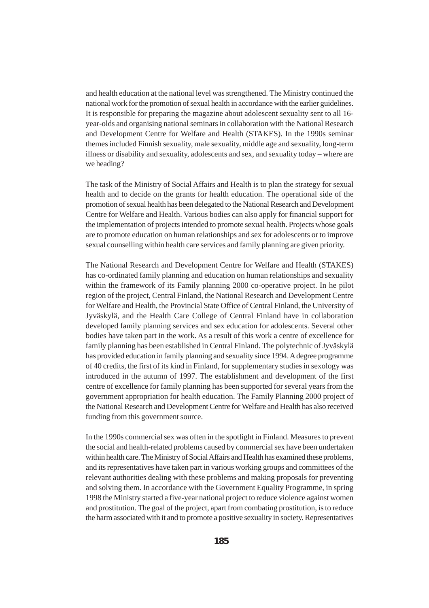and health education at the national level was strengthened. The Ministry continued the national work for the promotion of sexual health in accordance with the earlier guidelines. It is responsible for preparing the magazine about adolescent sexuality sent to all 16 year-olds and organising national seminars in collaboration with the National Research and Development Centre for Welfare and Health (STAKES). In the 1990s seminar themes included Finnish sexuality, male sexuality, middle age and sexuality, long-term illness or disability and sexuality, adolescents and sex, and sexuality today – where are we heading?

The task of the Ministry of Social Affairs and Health is to plan the strategy for sexual health and to decide on the grants for health education. The operational side of the promotion of sexual health has been delegated to the National Research and Development Centre for Welfare and Health. Various bodies can also apply for financial support for the implementation of projects intended to promote sexual health. Projects whose goals are to promote education on human relationships and sex for adolescents or to improve sexual counselling within health care services and family planning are given priority.

The National Research and Development Centre for Welfare and Health (STAKES) has co-ordinated family planning and education on human relationships and sexuality within the framework of its Family planning 2000 co-operative project. In he pilot region of the project, Central Finland, the National Research and Development Centre for Welfare and Health, the Provincial State Office of Central Finland, the University of Jyväskylä, and the Health Care College of Central Finland have in collaboration developed family planning services and sex education for adolescents. Several other bodies have taken part in the work. As a result of this work a centre of excellence for family planning has been established in Central Finland. The polytechnic of Jyväskylä has provided education in family planning and sexuality since 1994. A degree programme of 40 credits, the first of its kind in Finland, for supplementary studies in sexology was introduced in the autumn of 1997. The establishment and development of the first centre of excellence for family planning has been supported for several years from the government appropriation for health education. The Family Planning 2000 project of the National Research and Development Centre for Welfare and Health has also received funding from this government source.

In the 1990s commercial sex was often in the spotlight in Finland. Measures to prevent the social and health-related problems caused by commercial sex have been undertaken within health care. The Ministry of Social Affairs and Health has examined these problems, and its representatives have taken part in various working groups and committees of the relevant authorities dealing with these problems and making proposals for preventing and solving them. In accordance with the Government Equality Programme, in spring 1998 the Ministry started a five-year national project to reduce violence against women and prostitution. The goal of the project, apart from combating prostitution, is to reduce the harm associated with it and to promote a positive sexuality in society. Representatives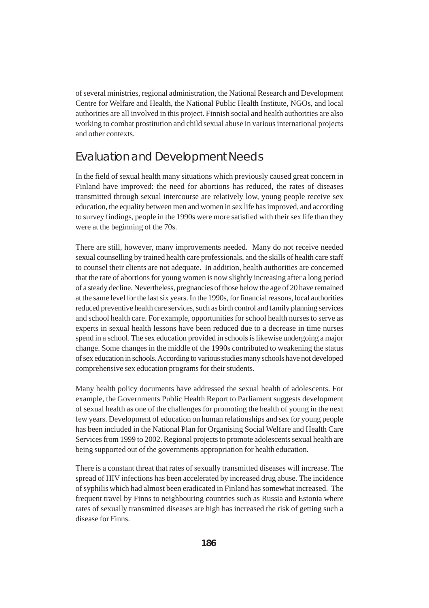of several ministries, regional administration, the National Research and Development Centre for Welfare and Health, the National Public Health Institute, NGOs, and local authorities are all involved in this project. Finnish social and health authorities are also working to combat prostitution and child sexual abuse in various international projects and other contexts.

#### Evaluation and Development Needs

In the field of sexual health many situations which previously caused great concern in Finland have improved: the need for abortions has reduced, the rates of diseases transmitted through sexual intercourse are relatively low, young people receive sex education, the equality between men and women in sex life has improved, and according to survey findings, people in the 1990s were more satisfied with their sex life than they were at the beginning of the 70s.

There are still, however, many improvements needed. Many do not receive needed sexual counselling by trained health care professionals, and the skills of health care staff to counsel their clients are not adequate. In addition, health authorities are concerned that the rate of abortions for young women is now slightly increasing after a long period of a steady decline. Nevertheless, pregnancies of those below the age of 20 have remained at the same level for the last six years. In the 1990s, for financial reasons, local authorities reduced preventive health care services, such as birth control and family planning services and school health care. For example, opportunities for school health nurses to serve as experts in sexual health lessons have been reduced due to a decrease in time nurses spend in a school. The sex education provided in schools is likewise undergoing a major change. Some changes in the middle of the 1990s contributed to weakening the status of sex education in schools. According to various studies many schools have not developed comprehensive sex education programs for their students.

Many health policy documents have addressed the sexual health of adolescents. For example, the Governments Public Health Report to Parliament suggests development of sexual health as one of the challenges for promoting the health of young in the next few years. Development of education on human relationships and sex for young people has been included in the National Plan for Organising Social Welfare and Health Care Services from 1999 to 2002. Regional projects to promote adolescents sexual health are being supported out of the governments appropriation for health education.

There is a constant threat that rates of sexually transmitted diseases will increase. The spread of HIV infections has been accelerated by increased drug abuse. The incidence of syphilis which had almost been eradicated in Finland has somewhat increased. The frequent travel by Finns to neighbouring countries such as Russia and Estonia where rates of sexually transmitted diseases are high has increased the risk of getting such a disease for Finns.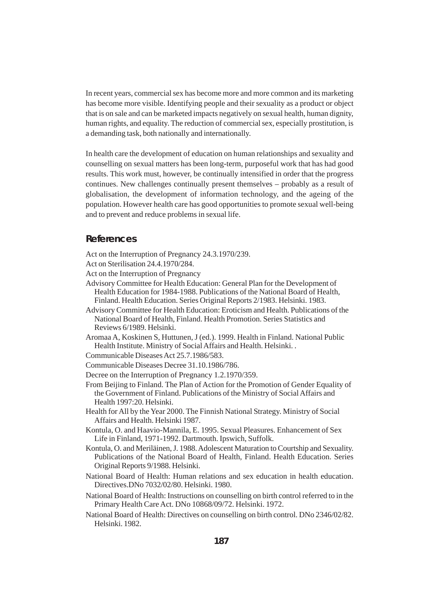In recent years, commercial sex has become more and more common and its marketing has become more visible. Identifying people and their sexuality as a product or object that is on sale and can be marketed impacts negatively on sexual health, human dignity, human rights, and equality. The reduction of commercial sex, especially prostitution, is a demanding task, both nationally and internationally.

In health care the development of education on human relationships and sexuality and counselling on sexual matters has been long-term, purposeful work that has had good results. This work must, however, be continually intensified in order that the progress continues. New challenges continually present themselves – probably as a result of globalisation, the development of information technology, and the ageing of the population. However health care has good opportunities to promote sexual well-being and to prevent and reduce problems in sexual life.

#### **References**

Act on the Interruption of Pregnancy 24.3.1970/239.

- Act on Sterilisation 24.4.1970/284.
- Act on the Interruption of Pregnancy
- Advisory Committee for Health Education: General Plan for the Development of Health Education for 1984-1988. Publications of the National Board of Health, Finland. Health Education. Series Original Reports 2/1983. Helsinki. 1983.
- Advisory Committee for Health Education: Eroticism and Health. Publications of the National Board of Health, Finland. Health Promotion. Series Statistics and Reviews 6/1989. Helsinki.
- Aromaa A, Koskinen S, Huttunen, J (ed.). 1999. Health in Finland. National Public Health Institute. Ministry of Social Affairs and Health. Helsinki. .
- Communicable Diseases Act 25.7.1986/583.
- Communicable Diseases Decree 31.10.1986/786.
- Decree on the Interruption of Pregnancy 1.2.1970/359.
- From Beijing to Finland. The Plan of Action for the Promotion of Gender Equality of the Government of Finland. Publications of the Ministry of Social Affairs and Health 1997:20. Helsinki.
- Health for All by the Year 2000. The Finnish National Strategy. Ministry of Social Affairs and Health. Helsinki 1987.
- Kontula, O. and Haavio-Mannila, E. 1995. Sexual Pleasures. Enhancement of Sex Life in Finland, 1971-1992. Dartmouth. Ipswich, Suffolk.
- Kontula, O. and Meriläinen, J. 1988. Adolescent Maturation to Courtship and Sexuality. Publications of the National Board of Health, Finland. Health Education. Series Original Reports 9/1988. Helsinki.
- National Board of Health: Human relations and sex education in health education. Directives.DNo 7032/02/80. Helsinki. 1980.
- National Board of Health: Instructions on counselling on birth control referred to in the Primary Health Care Act. DNo 10868/09/72. Helsinki. 1972.
- National Board of Health: Directives on counselling on birth control. DNo 2346/02/82. Helsinki. 1982.